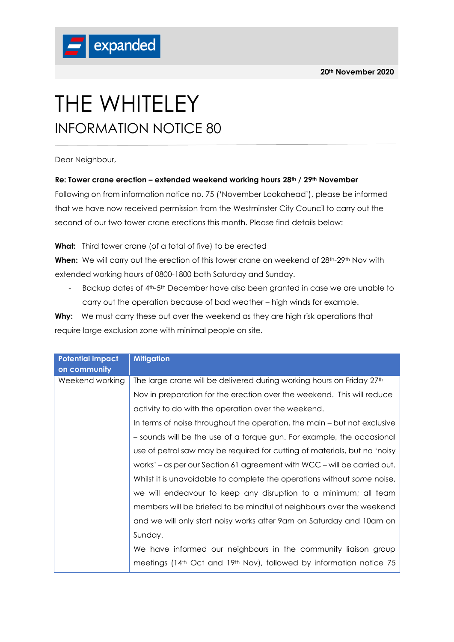

## THE WHITELEY INFORMATION NOTICE 80

Dear Neighbour,

## **Re: Tower crane erection – extended weekend working hours 28th / 29th November**

Following on from information notice no. 75 ('November Lookahead'), please be informed that we have now received permission from the Westminster City Council to carry out the second of our two tower crane erections this month. Please find details below:

**What:** Third tower crane (of a total of five) to be erected

**When:** We will carry out the erection of this tower crane on weekend of 28<sup>th</sup>-29<sup>th</sup> Nov with extended working hours of 0800-1800 both Saturday and Sunday.

- Backup dates of 4<sup>th</sup>-5<sup>th</sup> December have also been granted in case we are unable to carry out the operation because of bad weather – high winds for example.

**Why:** We must carry these out over the weekend as they are high risk operations that require large exclusion zone with minimal people on site.

| <b>Potential impact</b><br>on community | <b>Mitigation</b>                                                                           |
|-----------------------------------------|---------------------------------------------------------------------------------------------|
| Weekend working                         | The large crane will be delivered during working hours on Friday 27 <sup>th</sup>           |
|                                         | Nov in preparation for the erection over the weekend. This will reduce                      |
|                                         | activity to do with the operation over the weekend.                                         |
|                                         | In terms of noise throughout the operation, the main – but not exclusive                    |
|                                         | - sounds will be the use of a torque gun. For example, the occasional                       |
|                                         | use of petrol saw may be required for cutting of materials, but no 'noisy                   |
|                                         | works' – as per our Section 61 agreement with WCC – will be carried out.                    |
|                                         | Whilst it is unavoidable to complete the operations without some noise,                     |
|                                         | we will endeavour to keep any disruption to a minimum; all team                             |
|                                         | members will be briefed to be mindful of neighbours over the weekend                        |
|                                         | and we will only start noisy works after 9am on Saturday and 10am on                        |
|                                         | Sunday.                                                                                     |
|                                         | We have informed our neighbours in the community liaison group                              |
|                                         | meetings (14 <sup>th</sup> Oct and 19 <sup>th</sup> Nov), followed by information notice 75 |